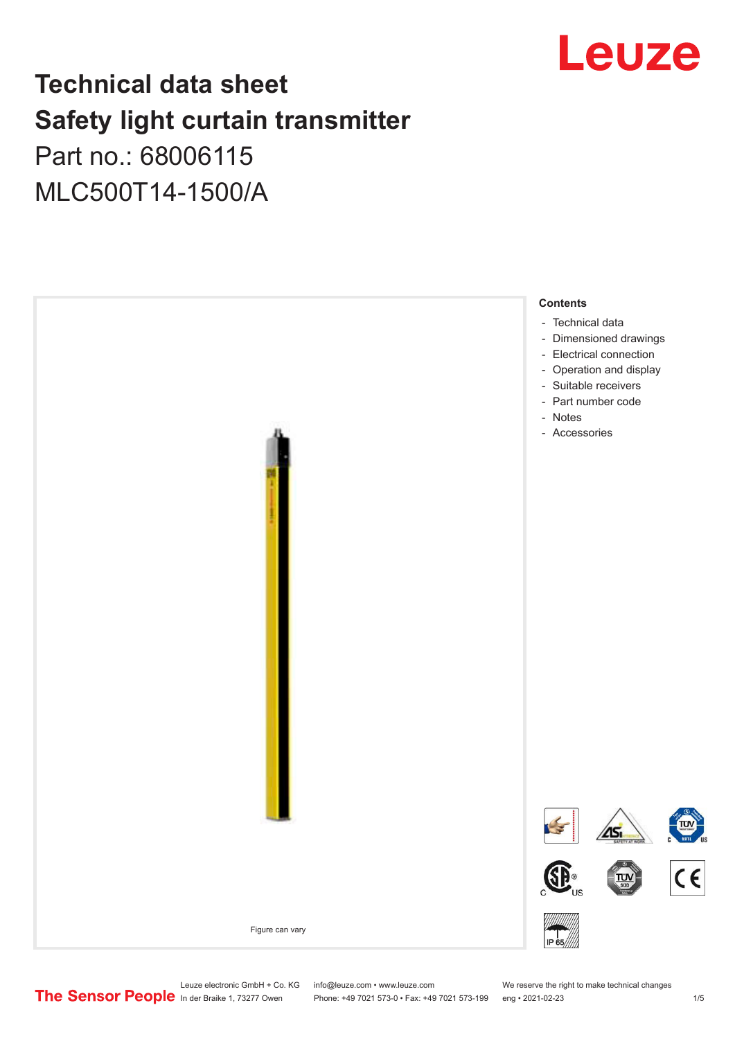

## **Technical data sheet Safety light curtain transmitter** Part no.: 68006115

# MLC500T14-1500/A



Leuze electronic GmbH + Co. KG info@leuze.com • www.leuze.com We reserve the right to make technical changes<br>
The Sensor People in der Braike 1, 73277 Owen Phone: +49 7021 573-0 • Fax: +49 7021 573-199 eng • 2021-02-23

Phone: +49 7021 573-0 • Fax: +49 7021 573-199 eng • 2021-02-23 1 /5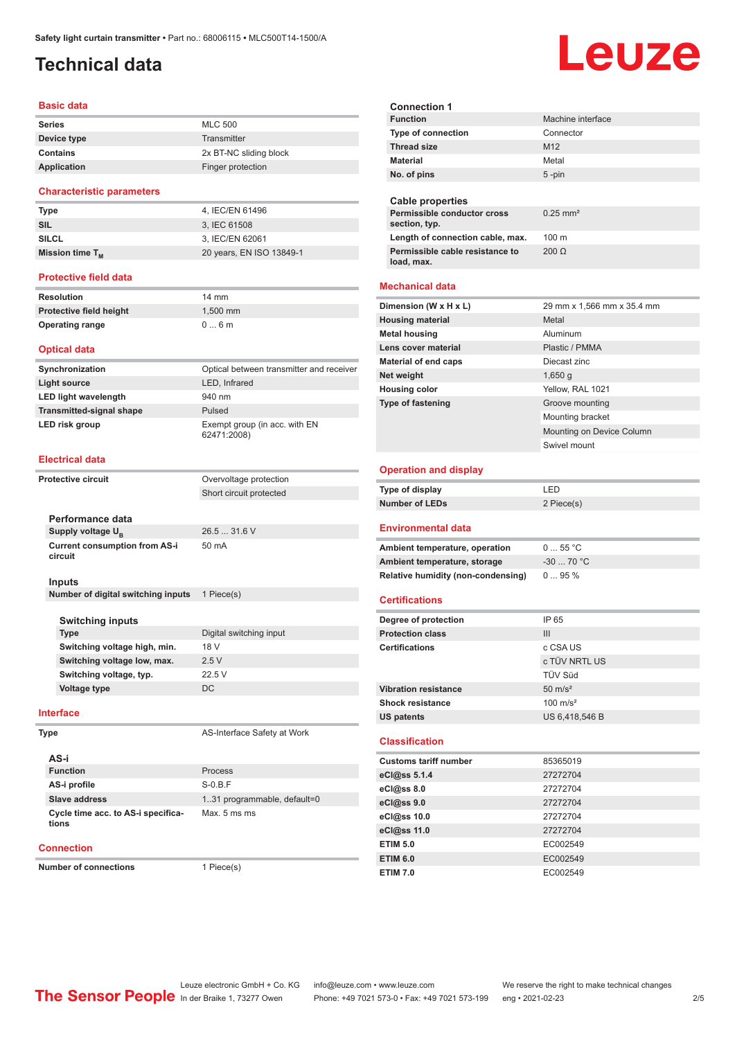## <span id="page-1-0"></span>**Technical data**

#### **Basic data**

| <b>Series</b> | <b>MLC 500</b>         |
|---------------|------------------------|
| Device type   | Transmitter            |
| Contains      | 2x BT-NC sliding block |
| Application   | Finger protection      |

#### **Characteristic parameters**

| <b>Type</b>          | 4. IEC/EN 61496          |
|----------------------|--------------------------|
| <b>SIL</b>           | 3. IEC 61508             |
| <b>SILCL</b>         | 3. IEC/EN 62061          |
| Mission time $T_{M}$ | 20 years, EN ISO 13849-1 |
|                      |                          |

#### **Protective field data**

| <b>Resolution</b>       | $14 \text{ mm}$ |
|-------------------------|-----------------|
| Protective field height | $1.500$ mm      |
| <b>Operating range</b>  | $0 \dots 6$ m   |

#### **Optical data**

| Synchronization                 | Optical between transmitter and receiver     |
|---------------------------------|----------------------------------------------|
| Light source                    | LED, Infrared                                |
| <b>LED light wavelength</b>     | 940 nm                                       |
| <b>Transmitted-signal shape</b> | Pulsed                                       |
| LED risk group                  | Exempt group (in acc. with EN<br>62471:2008) |

#### **Electrical data**

| <b>Protective circuit</b>                       | Overvoltage protection  |
|-------------------------------------------------|-------------------------|
|                                                 | Short circuit protected |
|                                                 |                         |
| Performance data                                |                         |
| Supply voltage U <sub>B</sub>                   | 26.5  31.6 V            |
| <b>Current consumption from AS-i</b><br>circuit | 50 mA                   |
| Inputs                                          |                         |
| Number of digital switching inputs              | 1 Piece(s)              |
|                                                 |                         |
| <b>Switching inputs</b>                         |                         |
| <b>Type</b>                                     | Digital switching input |
| Switching voltage high, min.                    | 18 V                    |
| Switching voltage low, max.                     | 2.5V                    |
| Switching voltage, typ.                         | 22.5 V                  |
| <b>Voltage type</b>                             | DC.                     |
| <b>Interface</b>                                |                         |

**Type AS-Interface Safety at Work** 

**AS-i Function** Process **AS-i profile** S-0.B.F **Slave address** 1..31 programmable, default=0 **Cycle time acc. to AS-i specifications**

Max. 5 ms ms

#### **Connection**

**Number of connections** 1 Piece(s)

Leuze **Connection 1 Machine interface Type of connection** Connector **Thread size** M12 **Material** Metal **No. of pins** 5 -pin **Cable properties Permissible conductor cross**  0.25 mm² **section, typ.** Length of connection cable, max. 100 m **Permissible cable resistance to**  200 Ω

#### **Mechanical data**

**load, max.**

| Dimension (W x H x L)    | 29 mm x 1,566 mm x 35.4 mm |
|--------------------------|----------------------------|
| <b>Housing material</b>  | Metal                      |
| <b>Metal housing</b>     | Aluminum                   |
| Lens cover material      | Plastic / PMMA             |
| Material of end caps     | Diecast zinc               |
| Net weight               | 1,650q                     |
| <b>Housing color</b>     | Yellow, RAL 1021           |
| <b>Type of fastening</b> | Groove mounting            |
|                          | Mounting bracket           |
|                          | Mounting on Device Column  |
|                          | Swivel mount               |
| Onovation and diaplau    |                            |

#### **Operation and display**

| Type of display | LED        |
|-----------------|------------|
| Number of LEDs  | 2 Piece(s) |

#### **Environmental data**

| Ambient temperature, operation     | $055$ °C    |
|------------------------------------|-------------|
| Ambient temperature, storage       | $-30$ 70 °C |
| Relative humidity (non-condensing) | $095\%$     |

#### **Certifications**

| Degree of protection         | IP 65               |
|------------------------------|---------------------|
| <b>Protection class</b>      | III                 |
| <b>Certifications</b>        | c CSA US            |
|                              | c TÜV NRTL US       |
|                              | TÜV Süd             |
| <b>Vibration resistance</b>  | $50 \text{ m/s}^2$  |
| <b>Shock resistance</b>      | $100 \text{ m/s}^2$ |
| <b>US patents</b>            | US 6,418,546 B      |
|                              |                     |
|                              |                     |
| <b>Classification</b>        |                     |
| <b>Customs tariff number</b> | 85365019            |
| eCl@ss 5.1.4                 | 27272704            |
| eCl@ss 8.0                   | 27272704            |
| eCl@ss 9.0                   | 27272704            |
| eCl@ss 10.0                  | 27272704            |
| eCl@ss 11.0                  | 27272704            |
| <b>ETIM 5.0</b>              | EC002549            |
| <b>ETIM 6.0</b>              | EC002549            |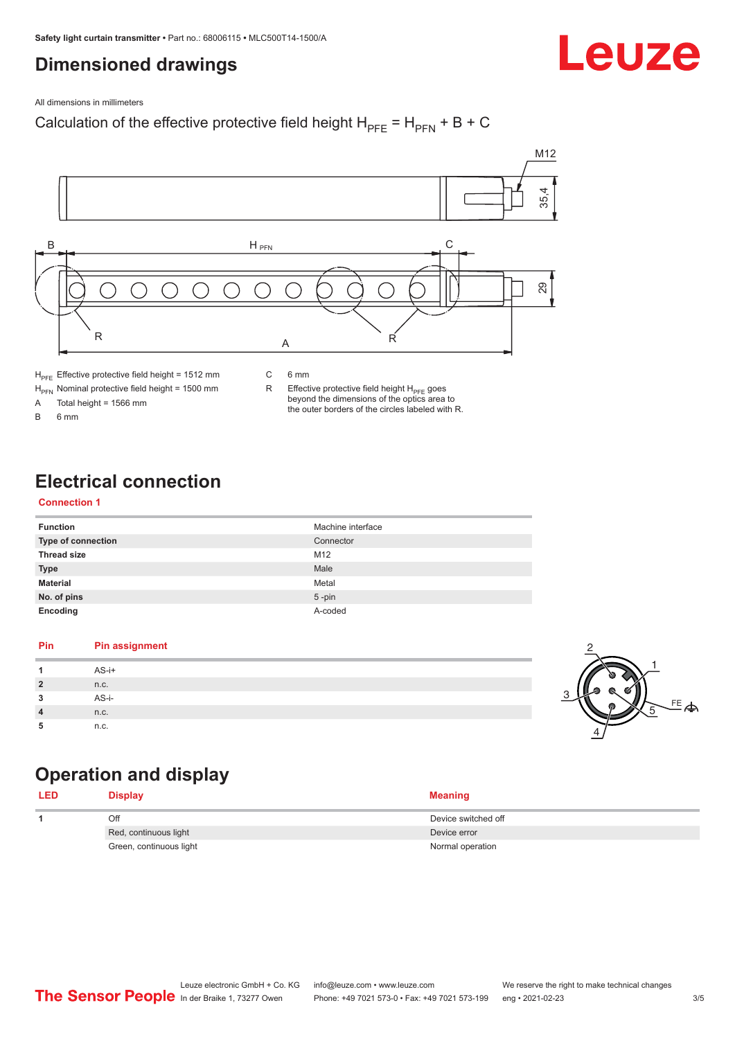## <span id="page-2-0"></span>**Dimensioned drawings**

Leuze

All dimensions in millimeters

#### Calculation of the effective protective field height  $H_{PFE} = H_{PFN} + B + C$



 $H_{\text{PFN}}$  Nominal protective field height = 1500 mm<br>A Total height = 1566 mm

Total height =  $1566$  mm

B 6 mm

R Effective protective field height  $H_{PFE}$  goes beyond the dimensions of the optics area to

the outer borders of the circles labeled with R.

## **Electrical connection**

#### **Connection 1**

| <b>Function</b>    | Machine interface |
|--------------------|-------------------|
| Type of connection | Connector         |
| <b>Thread size</b> | M12               |
| <b>Type</b>        | Male              |
| <b>Material</b>    | Metal             |
| No. of pins        | $5$ -pin          |
| Encoding           | A-coded           |

#### **Pin Pin assignment 1** AS-i+ **2** n.c. **3** AS-i-**4** n.c. **5** n.c.



## **Operation and display**

| LED | <b>Display</b>          | <b>Meaning</b>      |
|-----|-------------------------|---------------------|
|     | Off                     | Device switched off |
|     | Red, continuous light   | Device error        |
|     | Green, continuous light | Normal operation    |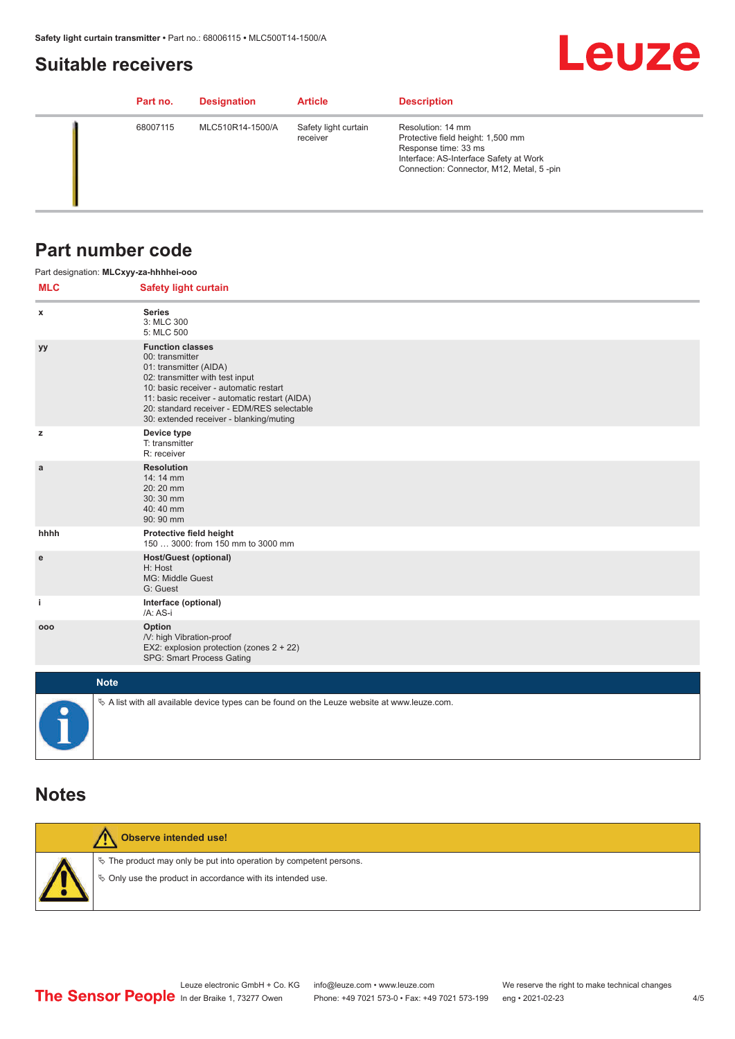## <span id="page-3-0"></span>**Suitable receivers**

# **Leuze**

| Part no. | <b>Designation</b> | <b>Article</b>                   | <b>Description</b>                                                                                                                                                   |
|----------|--------------------|----------------------------------|----------------------------------------------------------------------------------------------------------------------------------------------------------------------|
| 68007115 | MLC510R14-1500/A   | Safety light curtain<br>receiver | Resolution: 14 mm<br>Protective field height: 1,500 mm<br>Response time: 33 ms<br>Interface: AS-Interface Safety at Work<br>Connection: Connector, M12, Metal, 5-pin |

## **Part number code**

|              | Part designation: MLCxyy-za-hhhhei-ooo                                                                                                                                                                                                                                                      |  |  |  |
|--------------|---------------------------------------------------------------------------------------------------------------------------------------------------------------------------------------------------------------------------------------------------------------------------------------------|--|--|--|
| <b>MLC</b>   | <b>Safety light curtain</b>                                                                                                                                                                                                                                                                 |  |  |  |
| x            | <b>Series</b><br>3: MLC 300<br>5: MLC 500                                                                                                                                                                                                                                                   |  |  |  |
| уу           | <b>Function classes</b><br>00: transmitter<br>01: transmitter (AIDA)<br>02: transmitter with test input<br>10: basic receiver - automatic restart<br>11: basic receiver - automatic restart (AIDA)<br>20: standard receiver - EDM/RES selectable<br>30: extended receiver - blanking/muting |  |  |  |
| z            | Device type<br>T: transmitter<br>R: receiver                                                                                                                                                                                                                                                |  |  |  |
| $\mathbf{a}$ | <b>Resolution</b><br>14: 14 mm<br>20:20 mm<br>30:30 mm<br>40:40 mm<br>90: 90 mm                                                                                                                                                                                                             |  |  |  |
| hhhh         | Protective field height<br>150  3000: from 150 mm to 3000 mm                                                                                                                                                                                                                                |  |  |  |
| e            | <b>Host/Guest (optional)</b><br>H: Host<br>MG: Middle Guest<br>G: Guest                                                                                                                                                                                                                     |  |  |  |
| j.           | Interface (optional)<br>/A: AS-i                                                                                                                                                                                                                                                            |  |  |  |
| 000          | Option<br>/V: high Vibration-proof<br>EX2: explosion protection (zones 2 + 22)<br>SPG: Smart Process Gating                                                                                                                                                                                 |  |  |  |
|              | <b>Note</b>                                                                                                                                                                                                                                                                                 |  |  |  |
|              | $\&$ A list with all available device types can be found on the Leuze website at www.leuze.com.                                                                                                                                                                                             |  |  |  |

### **Notes**

| Observe intended use!                                                                                                                |
|--------------------------------------------------------------------------------------------------------------------------------------|
| $\&$ The product may only be put into operation by competent persons.<br>§ Only use the product in accordance with its intended use. |